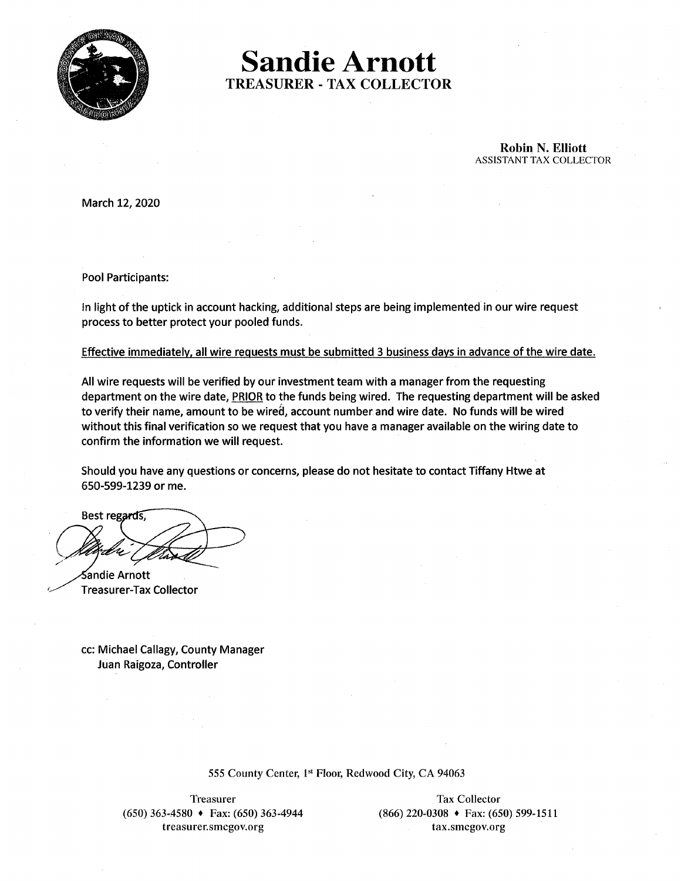

**Sandie Arnott TREASURER - TAX COLLECTOR** 

> **Robin N. Elliott ASSISTANT TAX COLLECTOR**

March 12, 2020

**Pool Participants:** 

In light of the uptick in account hacking, additional steps are being implemented in our wire request process to better protect your pooled funds.

Effective immediately, all wire requests must be submitted 3 business days in advance of the wire date.

All wire requests will be verified by our investment team with a manager from the requesting department on the wire date, PRIOR to the funds being wired. The requesting department will be asked to verify their name, amount to be wired, account number and wire date. No funds will be wired without this final verification so we request that you have a manager available on the wiring date to confirm the information we will request.

Should you have any questions or concerns, please do not hesitate to contact Tiffany Htwe at 650-599-1239 or me.

Best regards,

Sandie Arnott **Treasurer-Tax Collector** 

cc: Michael Callagy, County Manager Juan Raigoza, Controller

555 County Center, 1st Floor, Redwood City, CA 94063

Treasurer  $(650)$  363-4580  $\rightarrow$  Fax: (650) 363-4944 treasurer.smcgov.org

**Tax Collector**  $(866)$  220-0308 + Fax: (650) 599-1511 tax.smcgov.org